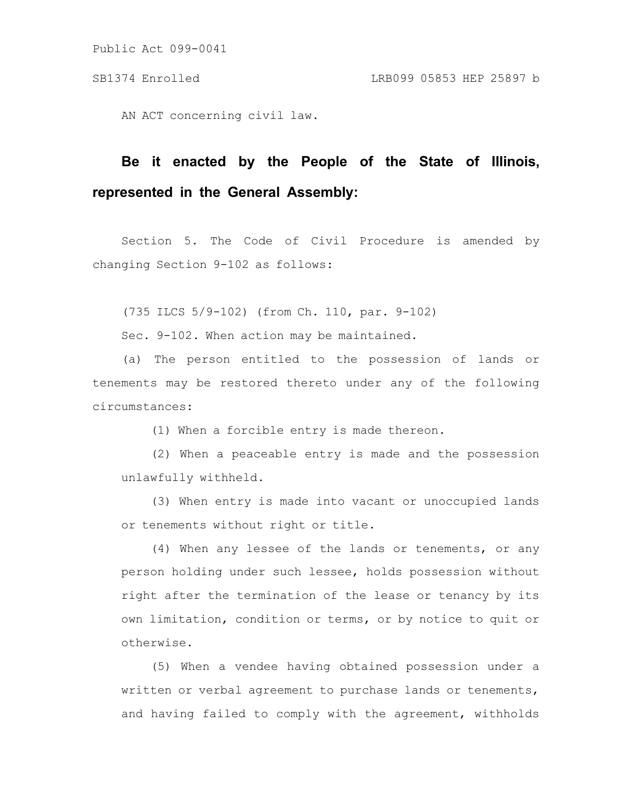AN ACT concerning civil law.

# **Be it enacted by the People of the State of Illinois, represented in the General Assembly:**

Section 5. The Code of Civil Procedure is amended by changing Section 9-102 as follows:

(735 ILCS 5/9-102) (from Ch. 110, par. 9-102)

Sec. 9-102. When action may be maintained.

(a) The person entitled to the possession of lands or tenements may be restored thereto under any of the following circumstances:

(1) When a forcible entry is made thereon.

(2) When a peaceable entry is made and the possession unlawfully withheld.

(3) When entry is made into vacant or unoccupied lands or tenements without right or title.

(4) When any lessee of the lands or tenements, or any person holding under such lessee, holds possession without right after the termination of the lease or tenancy by its own limitation, condition or terms, or by notice to quit or otherwise.

(5) When a vendee having obtained possession under a written or verbal agreement to purchase lands or tenements, and having failed to comply with the agreement, withholds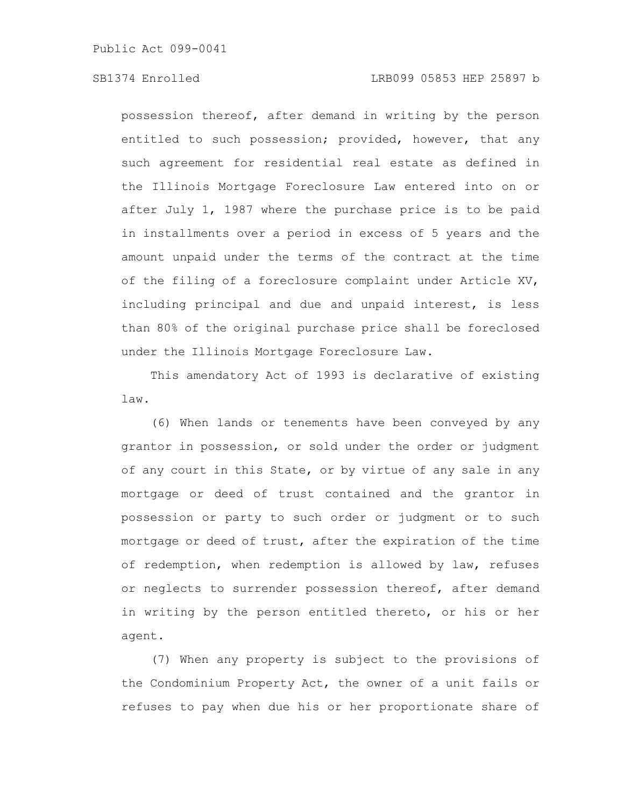possession thereof, after demand in writing by the person entitled to such possession; provided, however, that any such agreement for residential real estate as defined in the Illinois Mortgage Foreclosure Law entered into on or after July 1, 1987 where the purchase price is to be paid in installments over a period in excess of 5 years and the amount unpaid under the terms of the contract at the time of the filing of a foreclosure complaint under Article XV, including principal and due and unpaid interest, is less than 80% of the original purchase price shall be foreclosed under the Illinois Mortgage Foreclosure Law.

This amendatory Act of 1993 is declarative of existing law.

(6) When lands or tenements have been conveyed by any grantor in possession, or sold under the order or judgment of any court in this State, or by virtue of any sale in any mortgage or deed of trust contained and the grantor in possession or party to such order or judgment or to such mortgage or deed of trust, after the expiration of the time of redemption, when redemption is allowed by law, refuses or neglects to surrender possession thereof, after demand in writing by the person entitled thereto, or his or her agent.

(7) When any property is subject to the provisions of the Condominium Property Act, the owner of a unit fails or refuses to pay when due his or her proportionate share of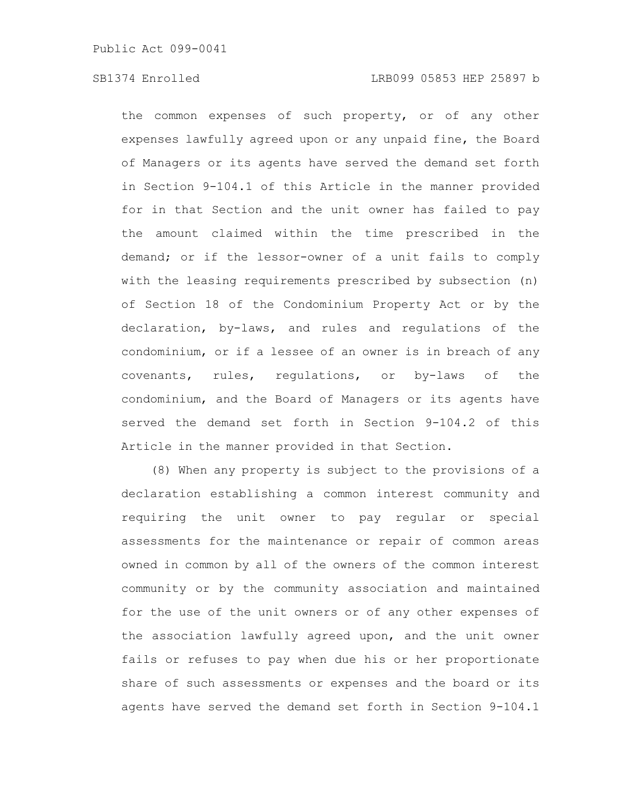the common expenses of such property, or of any other expenses lawfully agreed upon or any unpaid fine, the Board of Managers or its agents have served the demand set forth in Section 9-104.1 of this Article in the manner provided for in that Section and the unit owner has failed to pay the amount claimed within the time prescribed in the demand; or if the lessor-owner of a unit fails to comply with the leasing requirements prescribed by subsection (n) of Section 18 of the Condominium Property Act or by the declaration, by-laws, and rules and regulations of the condominium, or if a lessee of an owner is in breach of any covenants, rules, regulations, or by-laws of the condominium, and the Board of Managers or its agents have served the demand set forth in Section 9-104.2 of this Article in the manner provided in that Section.

(8) When any property is subject to the provisions of a declaration establishing a common interest community and requiring the unit owner to pay regular or special assessments for the maintenance or repair of common areas owned in common by all of the owners of the common interest community or by the community association and maintained for the use of the unit owners or of any other expenses of the association lawfully agreed upon, and the unit owner fails or refuses to pay when due his or her proportionate share of such assessments or expenses and the board or its agents have served the demand set forth in Section 9-104.1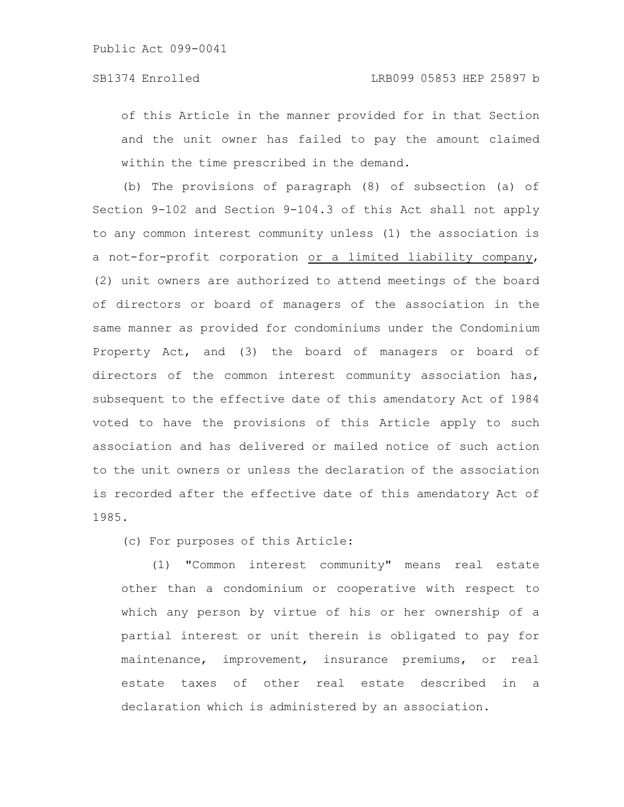of this Article in the manner provided for in that Section and the unit owner has failed to pay the amount claimed within the time prescribed in the demand.

(b) The provisions of paragraph (8) of subsection (a) of Section 9-102 and Section 9-104.3 of this Act shall not apply to any common interest community unless (1) the association is a not-for-profit corporation or a limited liability company, (2) unit owners are authorized to attend meetings of the board of directors or board of managers of the association in the same manner as provided for condominiums under the Condominium Property Act, and (3) the board of managers or board of directors of the common interest community association has, subsequent to the effective date of this amendatory Act of 1984 voted to have the provisions of this Article apply to such association and has delivered or mailed notice of such action to the unit owners or unless the declaration of the association is recorded after the effective date of this amendatory Act of 1985.

(c) For purposes of this Article:

(1) "Common interest community" means real estate other than a condominium or cooperative with respect to which any person by virtue of his or her ownership of a partial interest or unit therein is obligated to pay for maintenance, improvement, insurance premiums, or real estate taxes of other real estate described in a declaration which is administered by an association.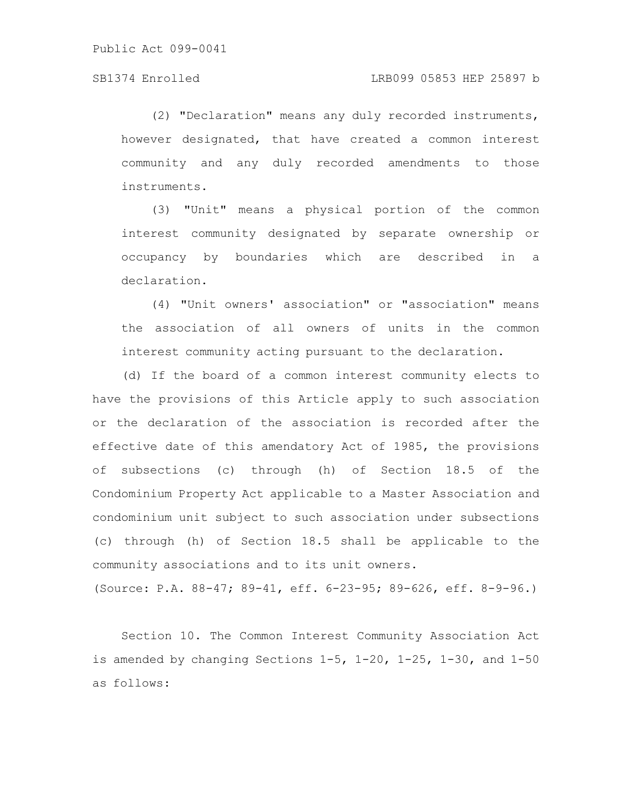(2) "Declaration" means any duly recorded instruments, however designated, that have created a common interest community and any duly recorded amendments to those instruments.

(3) "Unit" means a physical portion of the common interest community designated by separate ownership or occupancy by boundaries which are described in a declaration.

(4) "Unit owners' association" or "association" means the association of all owners of units in the common interest community acting pursuant to the declaration.

(d) If the board of a common interest community elects to have the provisions of this Article apply to such association or the declaration of the association is recorded after the effective date of this amendatory Act of 1985, the provisions of subsections (c) through (h) of Section 18.5 of the Condominium Property Act applicable to a Master Association and condominium unit subject to such association under subsections (c) through (h) of Section 18.5 shall be applicable to the community associations and to its unit owners.

(Source: P.A. 88-47; 89-41, eff. 6-23-95; 89-626, eff. 8-9-96.)

Section 10. The Common Interest Community Association Act is amended by changing Sections 1-5, 1-20, 1-25, 1-30, and 1-50 as follows: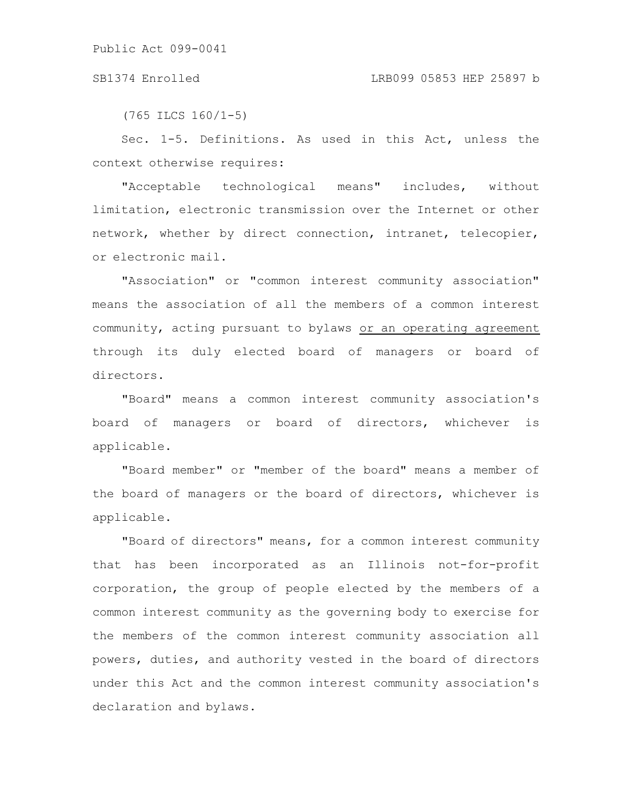(765 ILCS 160/1-5)

Sec. 1-5. Definitions. As used in this Act, unless the context otherwise requires:

"Acceptable technological means" includes, without limitation, electronic transmission over the Internet or other network, whether by direct connection, intranet, telecopier, or electronic mail.

"Association" or "common interest community association" means the association of all the members of a common interest community, acting pursuant to bylaws or an operating agreement through its duly elected board of managers or board of directors.

"Board" means a common interest community association's board of managers or board of directors, whichever is applicable.

"Board member" or "member of the board" means a member of the board of managers or the board of directors, whichever is applicable.

"Board of directors" means, for a common interest community that has been incorporated as an Illinois not-for-profit corporation, the group of people elected by the members of a common interest community as the governing body to exercise for the members of the common interest community association all powers, duties, and authority vested in the board of directors under this Act and the common interest community association's declaration and bylaws.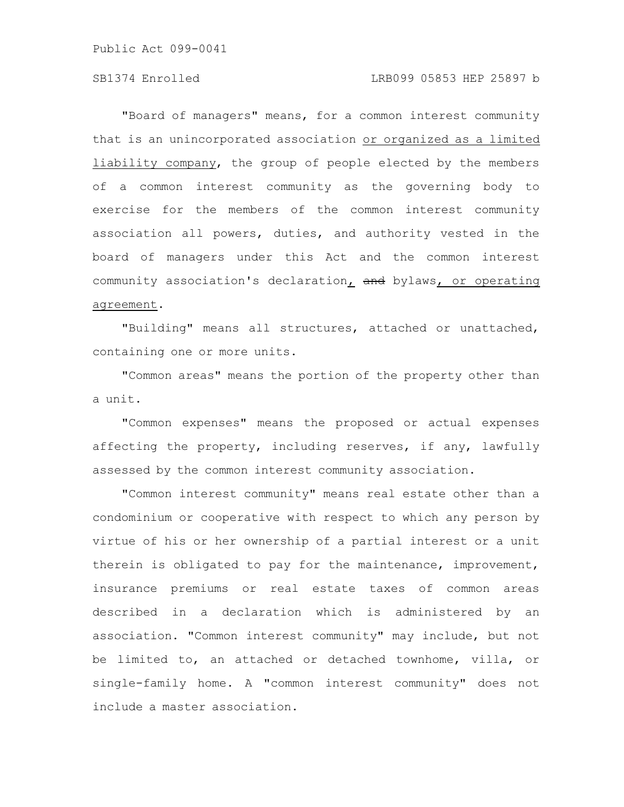### SB1374 Enrolled LRB099 05853 HEP 25897 b

"Board of managers" means, for a common interest community that is an unincorporated association or organized as a limited liability company, the group of people elected by the members of a common interest community as the governing body to exercise for the members of the common interest community association all powers, duties, and authority vested in the board of managers under this Act and the common interest community association's declaration, and bylaws, or operating agreement.

"Building" means all structures, attached or unattached, containing one or more units.

"Common areas" means the portion of the property other than a unit.

"Common expenses" means the proposed or actual expenses affecting the property, including reserves, if any, lawfully assessed by the common interest community association.

"Common interest community" means real estate other than a condominium or cooperative with respect to which any person by virtue of his or her ownership of a partial interest or a unit therein is obligated to pay for the maintenance, improvement, insurance premiums or real estate taxes of common areas described in a declaration which is administered by an association. "Common interest community" may include, but not be limited to, an attached or detached townhome, villa, or single-family home. A "common interest community" does not include a master association.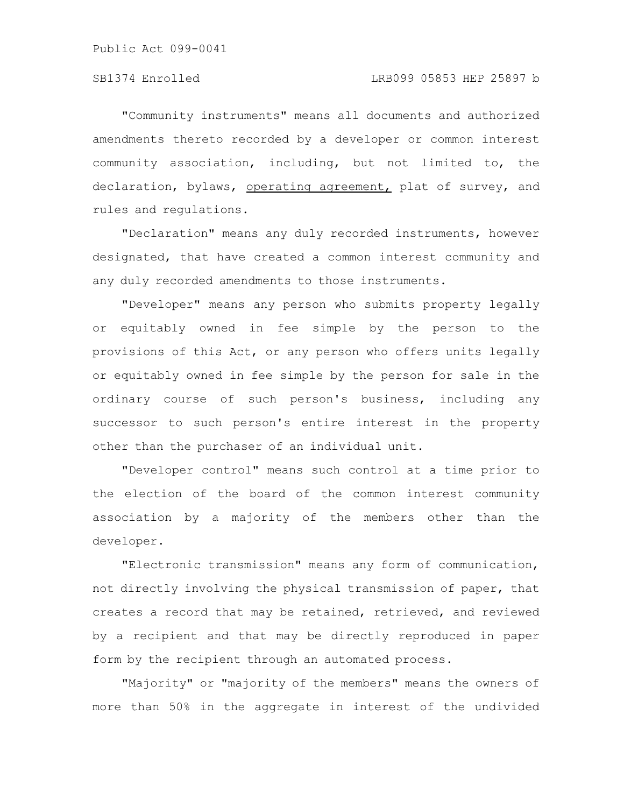"Community instruments" means all documents and authorized amendments thereto recorded by a developer or common interest community association, including, but not limited to, the declaration, bylaws, operating agreement, plat of survey, and rules and regulations.

"Declaration" means any duly recorded instruments, however designated, that have created a common interest community and any duly recorded amendments to those instruments.

"Developer" means any person who submits property legally or equitably owned in fee simple by the person to the provisions of this Act, or any person who offers units legally or equitably owned in fee simple by the person for sale in the ordinary course of such person's business, including any successor to such person's entire interest in the property other than the purchaser of an individual unit.

"Developer control" means such control at a time prior to the election of the board of the common interest community association by a majority of the members other than the developer.

"Electronic transmission" means any form of communication, not directly involving the physical transmission of paper, that creates a record that may be retained, retrieved, and reviewed by a recipient and that may be directly reproduced in paper form by the recipient through an automated process.

"Majority" or "majority of the members" means the owners of more than 50% in the aggregate in interest of the undivided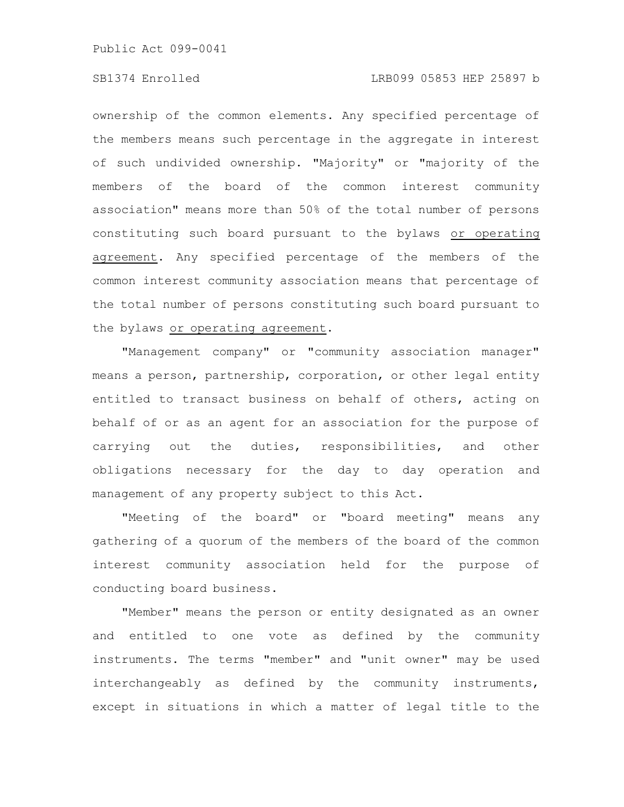### SB1374 Enrolled LRB099 05853 HEP 25897 b

ownership of the common elements. Any specified percentage of the members means such percentage in the aggregate in interest of such undivided ownership. "Majority" or "majority of the members of the board of the common interest community association" means more than 50% of the total number of persons constituting such board pursuant to the bylaws or operating agreement. Any specified percentage of the members of the common interest community association means that percentage of the total number of persons constituting such board pursuant to the bylaws or operating agreement.

"Management company" or "community association manager" means a person, partnership, corporation, or other legal entity entitled to transact business on behalf of others, acting on behalf of or as an agent for an association for the purpose of carrying out the duties, responsibilities, and other obligations necessary for the day to day operation and management of any property subject to this Act.

"Meeting of the board" or "board meeting" means any gathering of a quorum of the members of the board of the common interest community association held for the purpose of conducting board business.

"Member" means the person or entity designated as an owner and entitled to one vote as defined by the community instruments. The terms "member" and "unit owner" may be used interchangeably as defined by the community instruments, except in situations in which a matter of legal title to the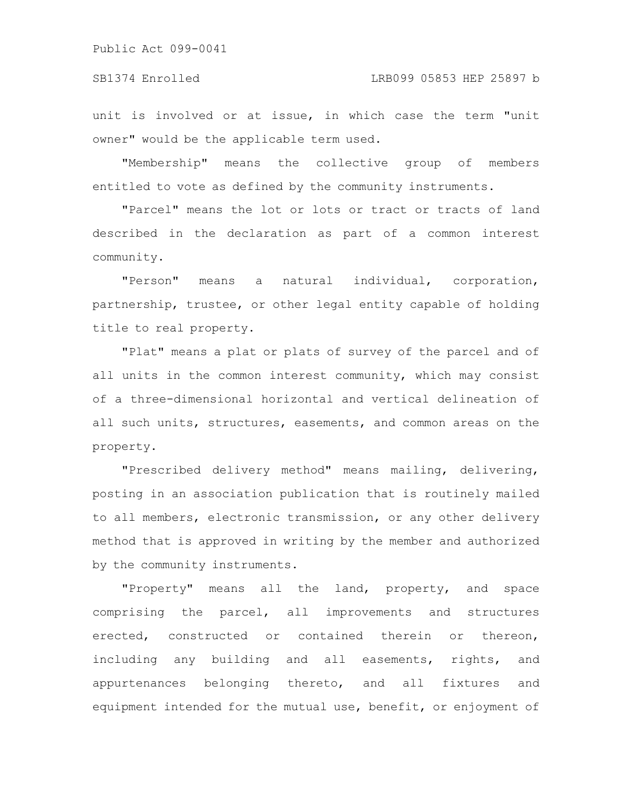unit is involved or at issue, in which case the term "unit owner" would be the applicable term used.

"Membership" means the collective group of members entitled to vote as defined by the community instruments.

"Parcel" means the lot or lots or tract or tracts of land described in the declaration as part of a common interest community.

"Person" means a natural individual, corporation, partnership, trustee, or other legal entity capable of holding title to real property.

"Plat" means a plat or plats of survey of the parcel and of all units in the common interest community, which may consist of a three-dimensional horizontal and vertical delineation of all such units, structures, easements, and common areas on the property.

"Prescribed delivery method" means mailing, delivering, posting in an association publication that is routinely mailed to all members, electronic transmission, or any other delivery method that is approved in writing by the member and authorized by the community instruments.

"Property" means all the land, property, and space comprising the parcel, all improvements and structures erected, constructed or contained therein or thereon, including any building and all easements, rights, and appurtenances belonging thereto, and all fixtures and equipment intended for the mutual use, benefit, or enjoyment of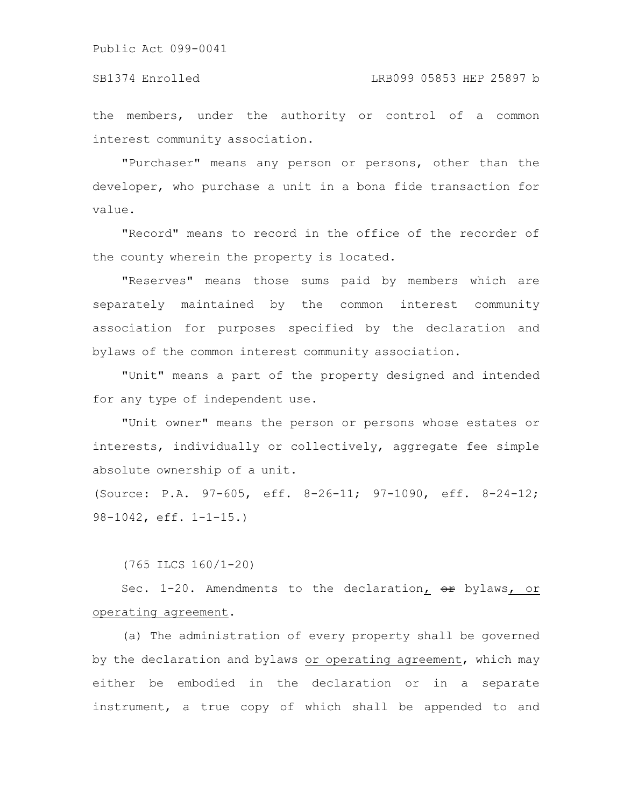the members, under the authority or control of a common interest community association.

"Purchaser" means any person or persons, other than the developer, who purchase a unit in a bona fide transaction for value.

"Record" means to record in the office of the recorder of the county wherein the property is located.

"Reserves" means those sums paid by members which are separately maintained by the common interest community association for purposes specified by the declaration and bylaws of the common interest community association.

"Unit" means a part of the property designed and intended for any type of independent use.

"Unit owner" means the person or persons whose estates or interests, individually or collectively, aggregate fee simple absolute ownership of a unit.

(Source: P.A. 97-605, eff. 8-26-11; 97-1090, eff. 8-24-12; 98-1042, eff. 1-1-15.)

(765 ILCS 160/1-20)

Sec.  $1-20$ . Amendments to the declaration,  $\Theta$ r bylaws, or operating agreement.

(a) The administration of every property shall be governed by the declaration and bylaws or operating agreement, which may either be embodied in the declaration or in a separate instrument, a true copy of which shall be appended to and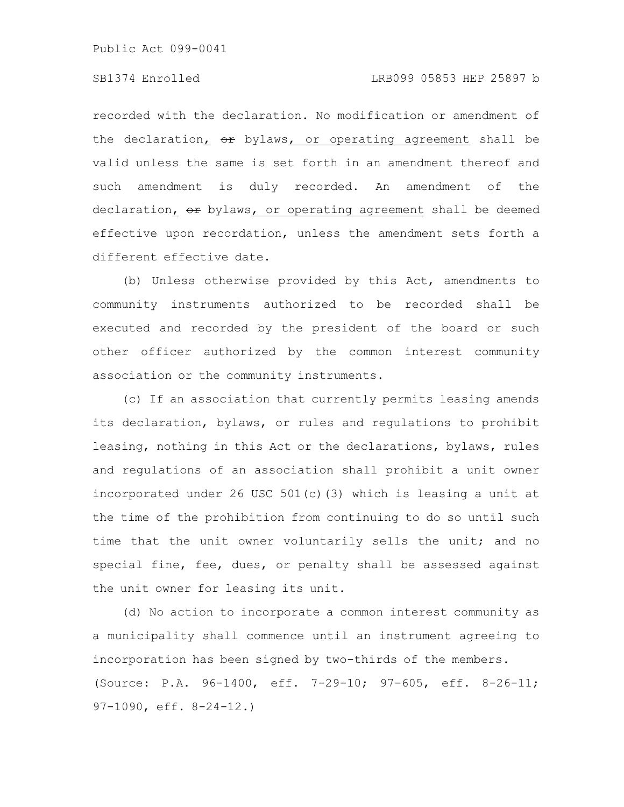### SB1374 Enrolled LRB099 05853 HEP 25897 b

recorded with the declaration. No modification or amendment of the declaration<sub> $I$ </sub>  $\Theta$ <sup>r</sup> bylaws, or operating agreement shall be valid unless the same is set forth in an amendment thereof and such amendment is duly recorded. An amendment of the declaration, or bylaws, or operating agreement shall be deemed effective upon recordation, unless the amendment sets forth a different effective date.

(b) Unless otherwise provided by this Act, amendments to community instruments authorized to be recorded shall be executed and recorded by the president of the board or such other officer authorized by the common interest community association or the community instruments.

(c) If an association that currently permits leasing amends its declaration, bylaws, or rules and regulations to prohibit leasing, nothing in this Act or the declarations, bylaws, rules and regulations of an association shall prohibit a unit owner incorporated under 26 USC 501(c)(3) which is leasing a unit at the time of the prohibition from continuing to do so until such time that the unit owner voluntarily sells the unit; and no special fine, fee, dues, or penalty shall be assessed against the unit owner for leasing its unit.

(d) No action to incorporate a common interest community as a municipality shall commence until an instrument agreeing to incorporation has been signed by two-thirds of the members. (Source: P.A. 96-1400, eff. 7-29-10; 97-605, eff. 8-26-11; 97-1090, eff. 8-24-12.)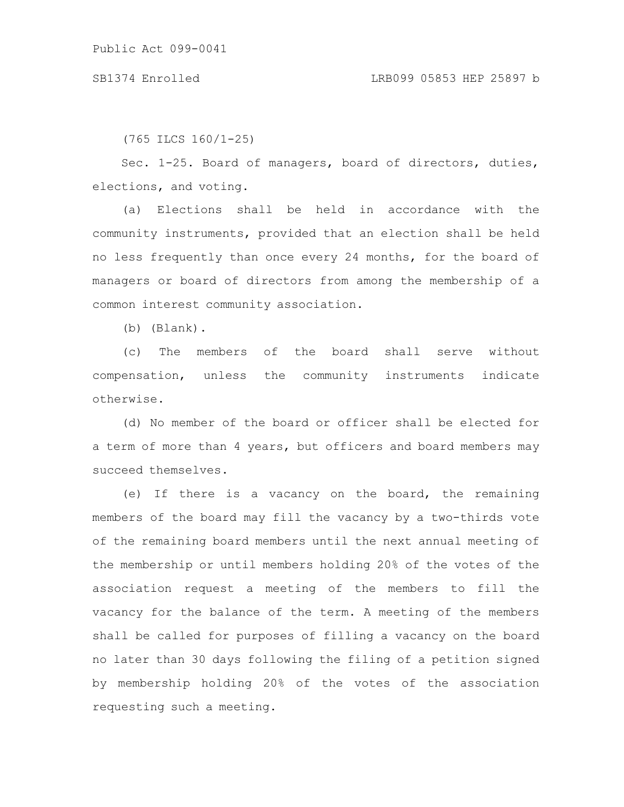(765 ILCS 160/1-25)

Sec. 1-25. Board of managers, board of directors, duties, elections, and voting.

(a) Elections shall be held in accordance with the community instruments, provided that an election shall be held no less frequently than once every 24 months, for the board of managers or board of directors from among the membership of a common interest community association.

(b) (Blank).

(c) The members of the board shall serve without compensation, unless the community instruments indicate otherwise.

(d) No member of the board or officer shall be elected for a term of more than 4 years, but officers and board members may succeed themselves.

(e) If there is a vacancy on the board, the remaining members of the board may fill the vacancy by a two-thirds vote of the remaining board members until the next annual meeting of the membership or until members holding 20% of the votes of the association request a meeting of the members to fill the vacancy for the balance of the term. A meeting of the members shall be called for purposes of filling a vacancy on the board no later than 30 days following the filing of a petition signed by membership holding 20% of the votes of the association requesting such a meeting.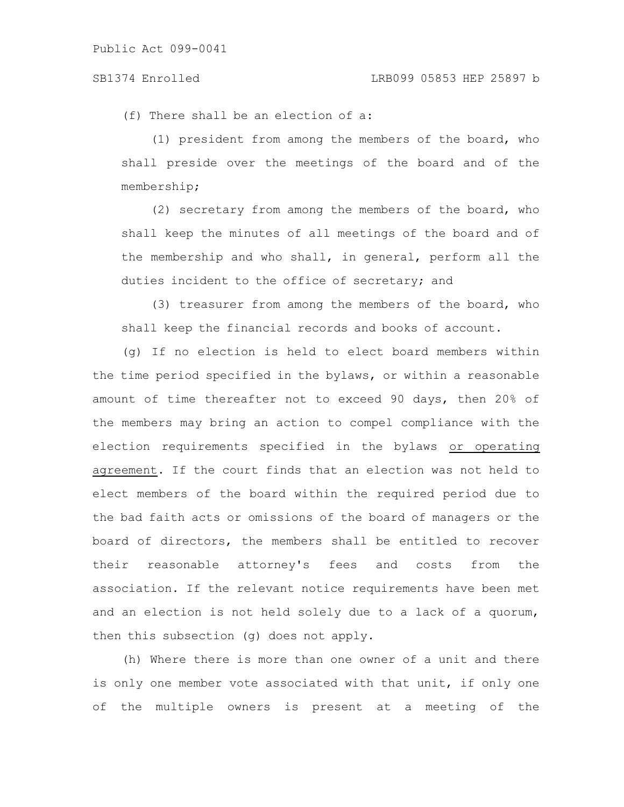(f) There shall be an election of a:

(1) president from among the members of the board, who shall preside over the meetings of the board and of the membership;

(2) secretary from among the members of the board, who shall keep the minutes of all meetings of the board and of the membership and who shall, in general, perform all the duties incident to the office of secretary; and

(3) treasurer from among the members of the board, who shall keep the financial records and books of account.

(g) If no election is held to elect board members within the time period specified in the bylaws, or within a reasonable amount of time thereafter not to exceed 90 days, then 20% of the members may bring an action to compel compliance with the election requirements specified in the bylaws or operating agreement. If the court finds that an election was not held to elect members of the board within the required period due to the bad faith acts or omissions of the board of managers or the board of directors, the members shall be entitled to recover their reasonable attorney's fees and costs from the association. If the relevant notice requirements have been met and an election is not held solely due to a lack of a quorum, then this subsection (g) does not apply.

(h) Where there is more than one owner of a unit and there is only one member vote associated with that unit, if only one of the multiple owners is present at a meeting of the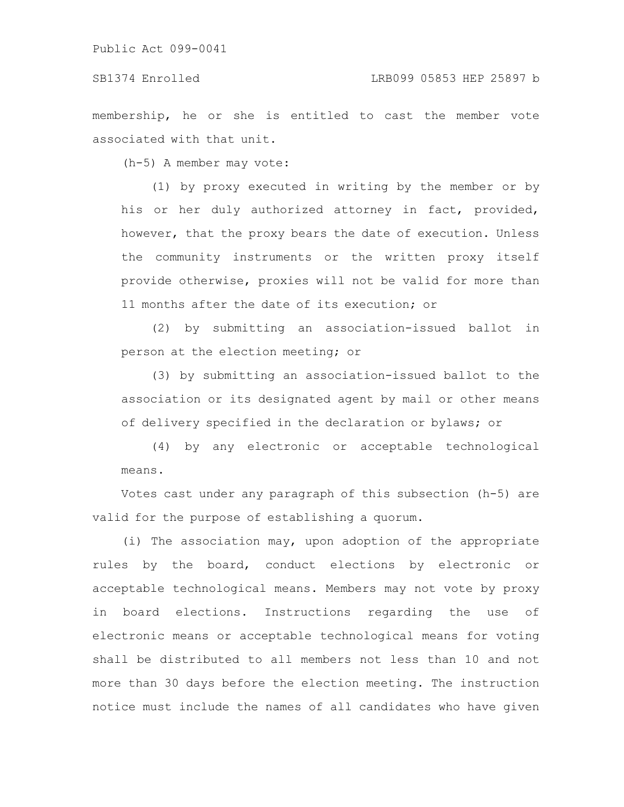membership, he or she is entitled to cast the member vote associated with that unit.

(h-5) A member may vote:

(1) by proxy executed in writing by the member or by his or her duly authorized attorney in fact, provided, however, that the proxy bears the date of execution. Unless the community instruments or the written proxy itself provide otherwise, proxies will not be valid for more than 11 months after the date of its execution; or

(2) by submitting an association-issued ballot in person at the election meeting; or

(3) by submitting an association-issued ballot to the association or its designated agent by mail or other means of delivery specified in the declaration or bylaws; or

(4) by any electronic or acceptable technological means.

Votes cast under any paragraph of this subsection (h-5) are valid for the purpose of establishing a quorum.

(i) The association may, upon adoption of the appropriate rules by the board, conduct elections by electronic or acceptable technological means. Members may not vote by proxy in board elections. Instructions regarding the use of electronic means or acceptable technological means for voting shall be distributed to all members not less than 10 and not more than 30 days before the election meeting. The instruction notice must include the names of all candidates who have given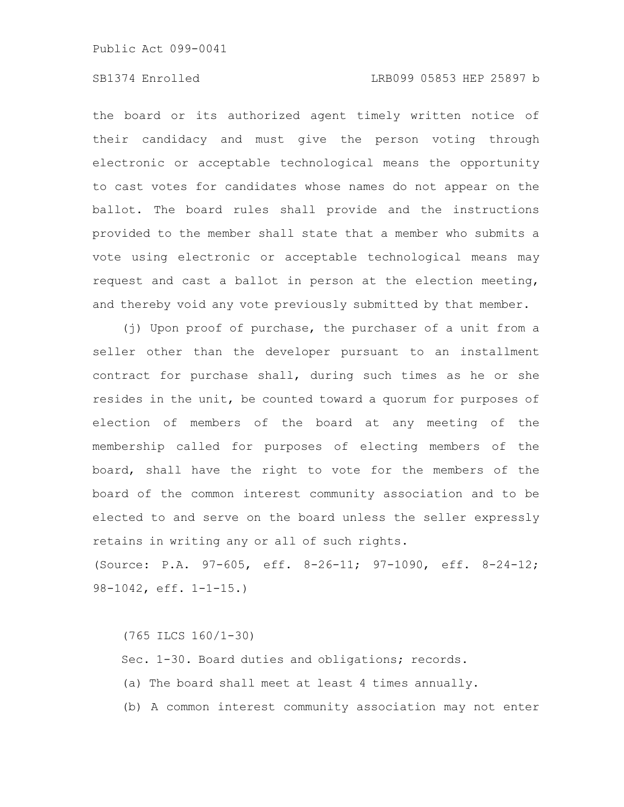the board or its authorized agent timely written notice of their candidacy and must give the person voting through electronic or acceptable technological means the opportunity to cast votes for candidates whose names do not appear on the ballot. The board rules shall provide and the instructions provided to the member shall state that a member who submits a vote using electronic or acceptable technological means may request and cast a ballot in person at the election meeting, and thereby void any vote previously submitted by that member.

(j) Upon proof of purchase, the purchaser of a unit from a seller other than the developer pursuant to an installment contract for purchase shall, during such times as he or she resides in the unit, be counted toward a quorum for purposes of election of members of the board at any meeting of the membership called for purposes of electing members of the board, shall have the right to vote for the members of the board of the common interest community association and to be elected to and serve on the board unless the seller expressly retains in writing any or all of such rights.

(Source: P.A. 97-605, eff. 8-26-11; 97-1090, eff. 8-24-12; 98-1042, eff. 1-1-15.)

(765 ILCS 160/1-30) Sec. 1-30. Board duties and obligations; records. (a) The board shall meet at least 4 times annually. (b) A common interest community association may not enter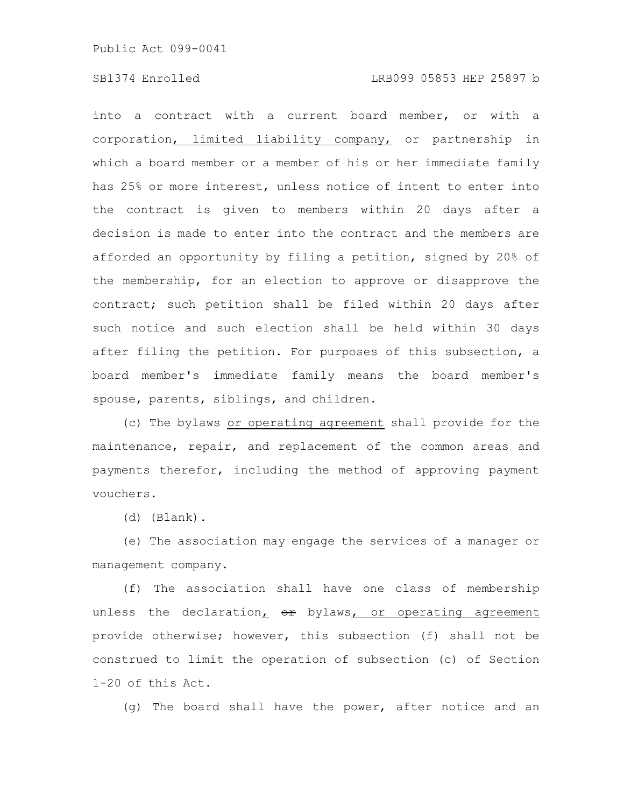into a contract with a current board member, or with a corporation, limited liability company, or partnership in which a board member or a member of his or her immediate family has 25% or more interest, unless notice of intent to enter into the contract is given to members within 20 days after a decision is made to enter into the contract and the members are afforded an opportunity by filing a petition, signed by 20% of the membership, for an election to approve or disapprove the contract; such petition shall be filed within 20 days after such notice and such election shall be held within 30 days after filing the petition. For purposes of this subsection, a board member's immediate family means the board member's spouse, parents, siblings, and children.

(c) The bylaws or operating agreement shall provide for the maintenance, repair, and replacement of the common areas and payments therefor, including the method of approving payment vouchers.

(d) (Blank).

(e) The association may engage the services of a manager or management company.

(f) The association shall have one class of membership unless the declaration,  $er$  bylaws, or operating agreement provide otherwise; however, this subsection (f) shall not be construed to limit the operation of subsection (c) of Section 1-20 of this Act.

(g) The board shall have the power, after notice and an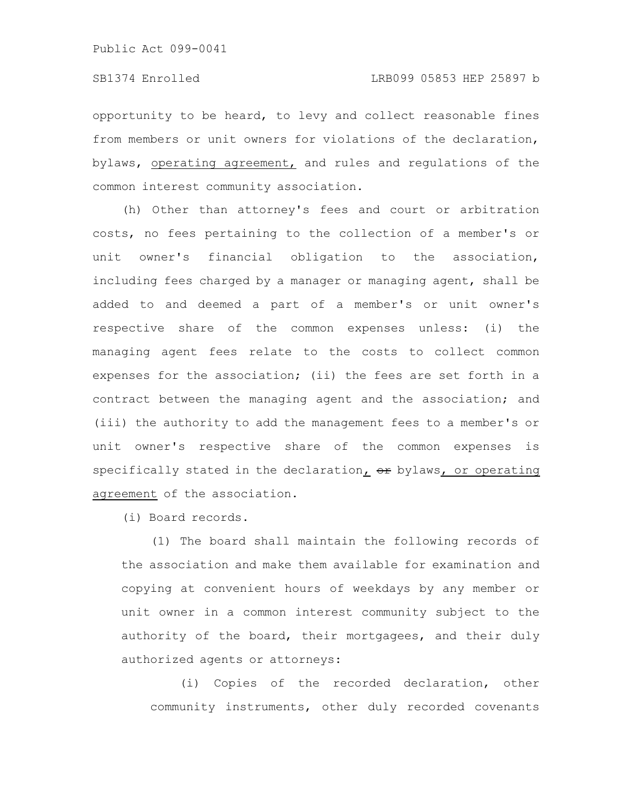opportunity to be heard, to levy and collect reasonable fines from members or unit owners for violations of the declaration, bylaws, operating agreement, and rules and regulations of the common interest community association.

(h) Other than attorney's fees and court or arbitration costs, no fees pertaining to the collection of a member's or unit owner's financial obligation to the association, including fees charged by a manager or managing agent, shall be added to and deemed a part of a member's or unit owner's respective share of the common expenses unless: (i) the managing agent fees relate to the costs to collect common expenses for the association; (ii) the fees are set forth in a contract between the managing agent and the association; and (iii) the authority to add the management fees to a member's or unit owner's respective share of the common expenses is specifically stated in the declaration,  $er$  bylaws, or operating agreement of the association.

(i) Board records.

(1) The board shall maintain the following records of the association and make them available for examination and copying at convenient hours of weekdays by any member or unit owner in a common interest community subject to the authority of the board, their mortgagees, and their duly authorized agents or attorneys:

(i) Copies of the recorded declaration, other community instruments, other duly recorded covenants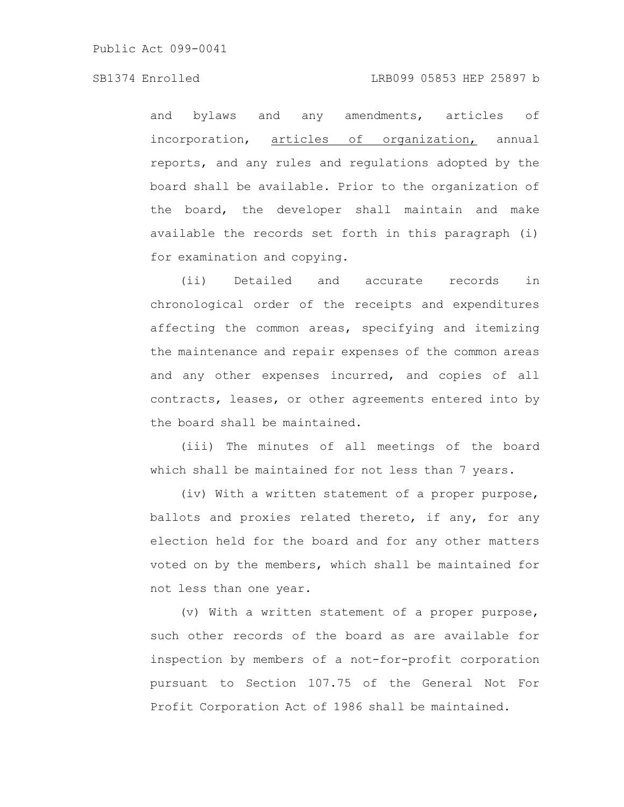SB1374 Enrolled LRB099 05853 HEP 25897 b

and bylaws and any amendments, articles of incorporation, articles of organization, annual reports, and any rules and regulations adopted by the board shall be available. Prior to the organization of the board, the developer shall maintain and make available the records set forth in this paragraph (i) for examination and copying.

(ii) Detailed and accurate records in chronological order of the receipts and expenditures affecting the common areas, specifying and itemizing the maintenance and repair expenses of the common areas and any other expenses incurred, and copies of all contracts, leases, or other agreements entered into by the board shall be maintained.

(iii) The minutes of all meetings of the board which shall be maintained for not less than 7 years.

(iv) With a written statement of a proper purpose, ballots and proxies related thereto, if any, for any election held for the board and for any other matters voted on by the members, which shall be maintained for not less than one year.

(v) With a written statement of a proper purpose, such other records of the board as are available for inspection by members of a not-for-profit corporation pursuant to Section 107.75 of the General Not For Profit Corporation Act of 1986 shall be maintained.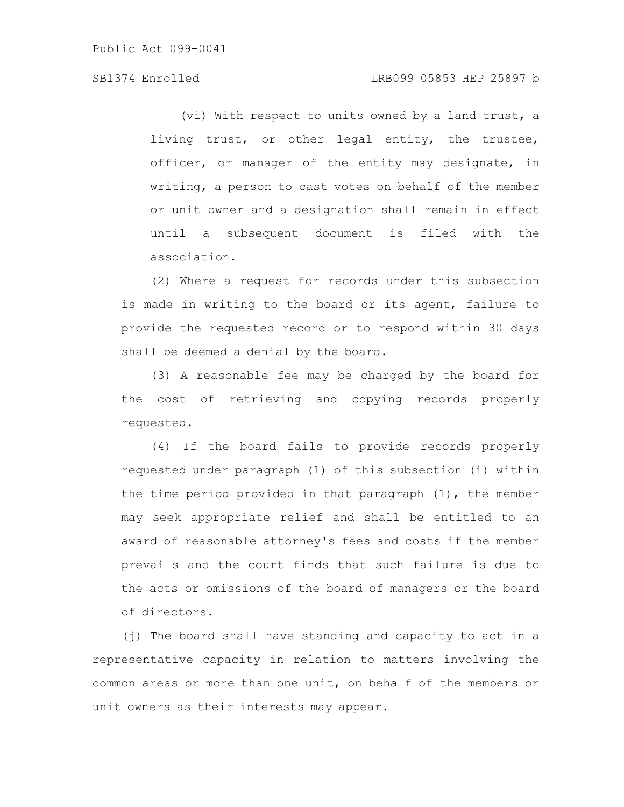(vi) With respect to units owned by a land trust, a living trust, or other legal entity, the trustee, officer, or manager of the entity may designate, in writing, a person to cast votes on behalf of the member or unit owner and a designation shall remain in effect until a subsequent document is filed with the association.

(2) Where a request for records under this subsection is made in writing to the board or its agent, failure to provide the requested record or to respond within 30 days shall be deemed a denial by the board.

(3) A reasonable fee may be charged by the board for the cost of retrieving and copying records properly requested.

(4) If the board fails to provide records properly requested under paragraph (1) of this subsection (i) within the time period provided in that paragraph (1), the member may seek appropriate relief and shall be entitled to an award of reasonable attorney's fees and costs if the member prevails and the court finds that such failure is due to the acts or omissions of the board of managers or the board of directors.

(j) The board shall have standing and capacity to act in a representative capacity in relation to matters involving the common areas or more than one unit, on behalf of the members or unit owners as their interests may appear.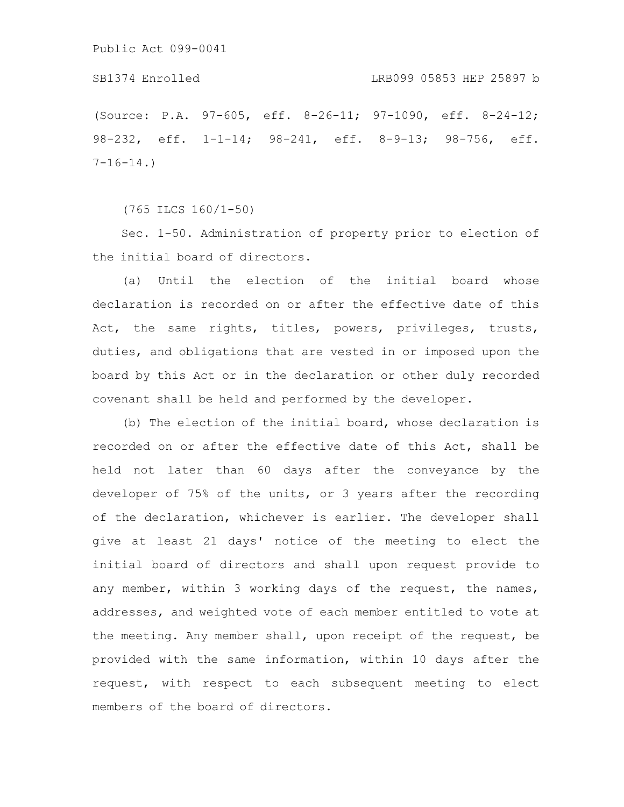(Source: P.A. 97-605, eff. 8-26-11; 97-1090, eff. 8-24-12; 98-232, eff. 1-1-14; 98-241, eff. 8-9-13; 98-756, eff.  $7-16-14.$ 

(765 ILCS 160/1-50)

Sec. 1-50. Administration of property prior to election of the initial board of directors.

(a) Until the election of the initial board whose declaration is recorded on or after the effective date of this Act, the same rights, titles, powers, privileges, trusts, duties, and obligations that are vested in or imposed upon the board by this Act or in the declaration or other duly recorded covenant shall be held and performed by the developer.

(b) The election of the initial board, whose declaration is recorded on or after the effective date of this Act, shall be held not later than 60 days after the conveyance by the developer of 75% of the units, or 3 years after the recording of the declaration, whichever is earlier. The developer shall give at least 21 days' notice of the meeting to elect the initial board of directors and shall upon request provide to any member, within 3 working days of the request, the names, addresses, and weighted vote of each member entitled to vote at the meeting. Any member shall, upon receipt of the request, be provided with the same information, within 10 days after the request, with respect to each subsequent meeting to elect members of the board of directors.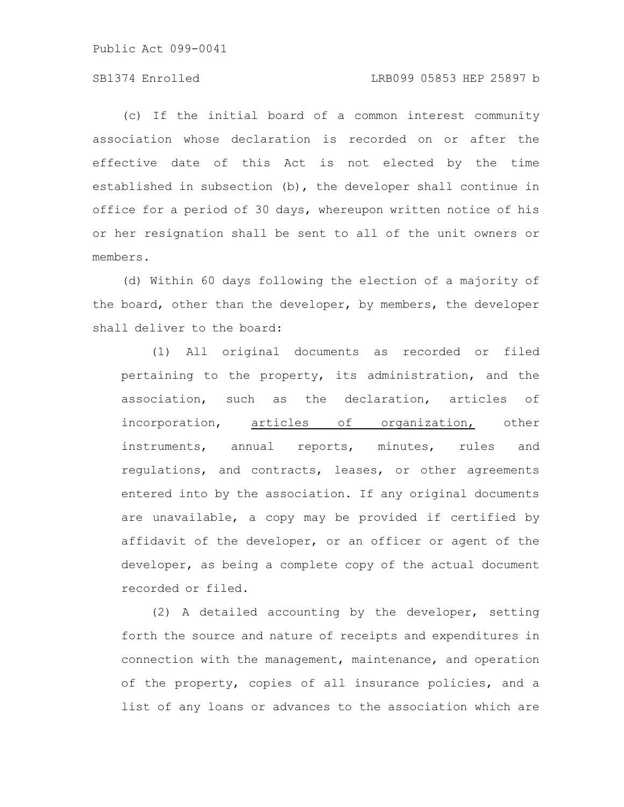### SB1374 Enrolled LRB099 05853 HEP 25897 b

(c) If the initial board of a common interest community association whose declaration is recorded on or after the effective date of this Act is not elected by the time established in subsection (b), the developer shall continue in office for a period of 30 days, whereupon written notice of his or her resignation shall be sent to all of the unit owners or members.

(d) Within 60 days following the election of a majority of the board, other than the developer, by members, the developer shall deliver to the board:

(1) All original documents as recorded or filed pertaining to the property, its administration, and the association, such as the declaration, articles of incorporation, articles of organization, other instruments, annual reports, minutes, rules and regulations, and contracts, leases, or other agreements entered into by the association. If any original documents are unavailable, a copy may be provided if certified by affidavit of the developer, or an officer or agent of the developer, as being a complete copy of the actual document recorded or filed.

(2) A detailed accounting by the developer, setting forth the source and nature of receipts and expenditures in connection with the management, maintenance, and operation of the property, copies of all insurance policies, and a list of any loans or advances to the association which are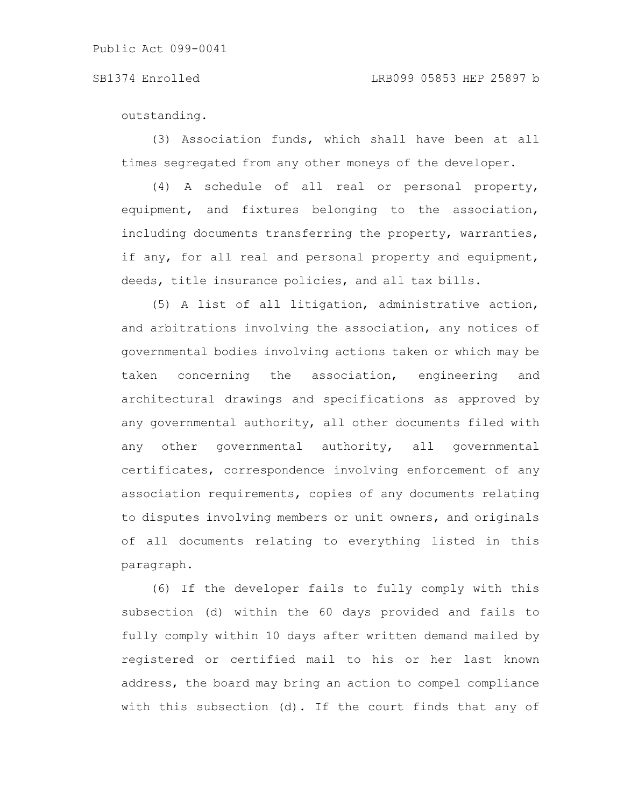outstanding.

(3) Association funds, which shall have been at all times segregated from any other moneys of the developer.

(4) A schedule of all real or personal property, equipment, and fixtures belonging to the association, including documents transferring the property, warranties, if any, for all real and personal property and equipment, deeds, title insurance policies, and all tax bills.

(5) A list of all litigation, administrative action, and arbitrations involving the association, any notices of governmental bodies involving actions taken or which may be taken concerning the association, engineering and architectural drawings and specifications as approved by any governmental authority, all other documents filed with any other governmental authority, all governmental certificates, correspondence involving enforcement of any association requirements, copies of any documents relating to disputes involving members or unit owners, and originals of all documents relating to everything listed in this paragraph.

(6) If the developer fails to fully comply with this subsection (d) within the 60 days provided and fails to fully comply within 10 days after written demand mailed by registered or certified mail to his or her last known address, the board may bring an action to compel compliance with this subsection (d). If the court finds that any of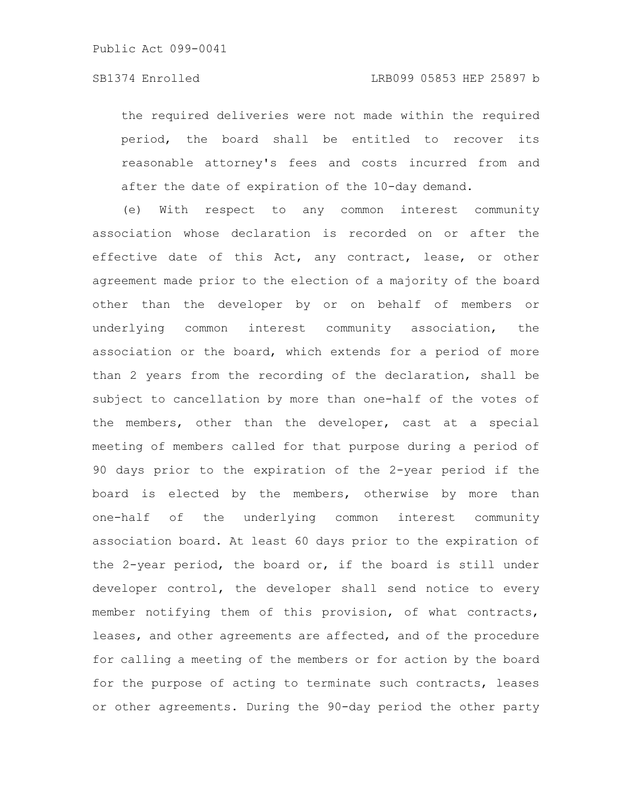the required deliveries were not made within the required period, the board shall be entitled to recover its reasonable attorney's fees and costs incurred from and after the date of expiration of the 10-day demand.

(e) With respect to any common interest community association whose declaration is recorded on or after the effective date of this Act, any contract, lease, or other agreement made prior to the election of a majority of the board other than the developer by or on behalf of members or underlying common interest community association, the association or the board, which extends for a period of more than 2 years from the recording of the declaration, shall be subject to cancellation by more than one-half of the votes of the members, other than the developer, cast at a special meeting of members called for that purpose during a period of 90 days prior to the expiration of the 2-year period if the board is elected by the members, otherwise by more than one-half of the underlying common interest community association board. At least 60 days prior to the expiration of the 2-year period, the board or, if the board is still under developer control, the developer shall send notice to every member notifying them of this provision, of what contracts, leases, and other agreements are affected, and of the procedure for calling a meeting of the members or for action by the board for the purpose of acting to terminate such contracts, leases or other agreements. During the 90-day period the other party